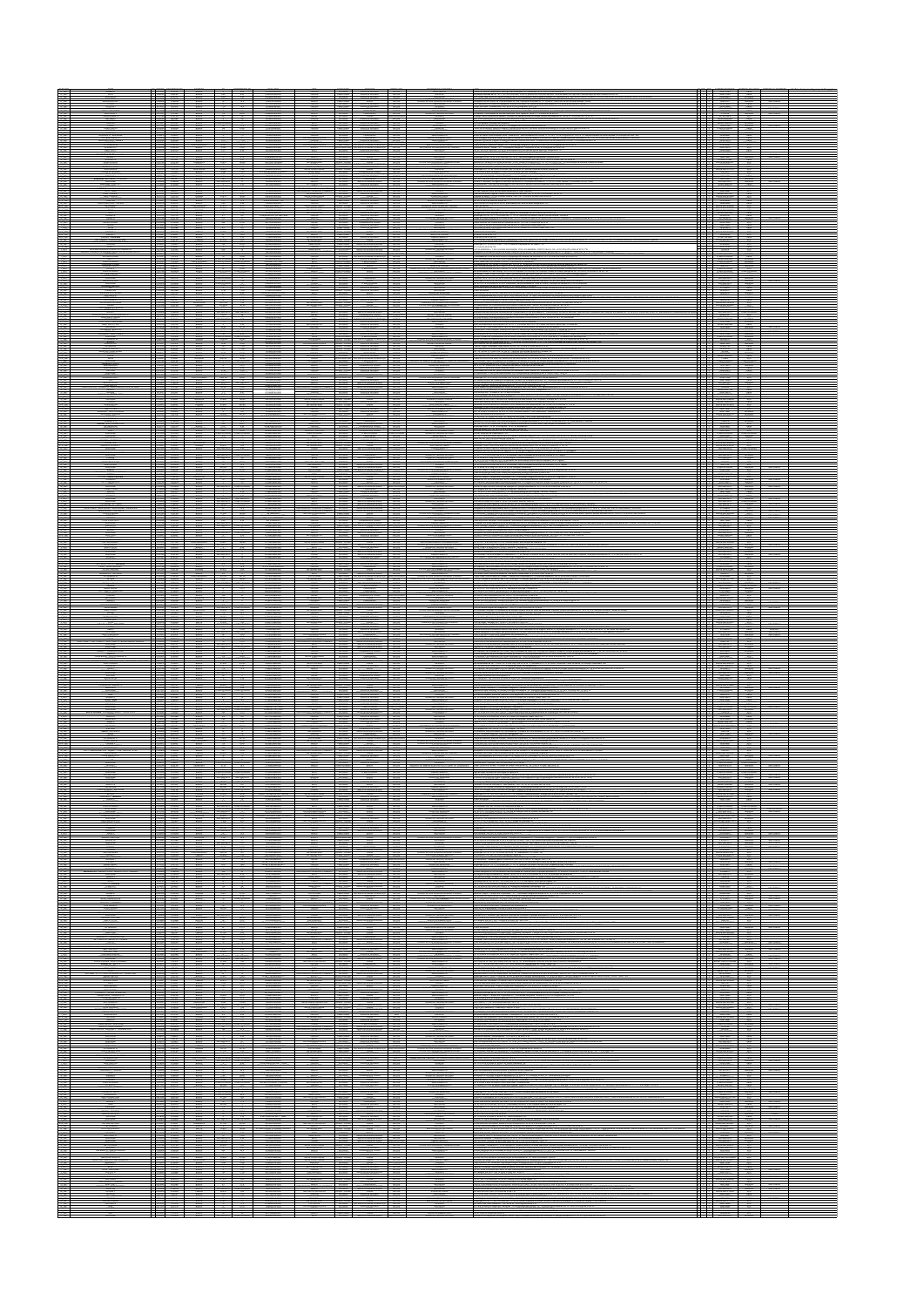|                                                                                  |                                                                                                                                                         |                         |                                                                                                                                                                                                                                                                                                                                                                                                                                                                                                           |  | the company                                              |  |
|----------------------------------------------------------------------------------|---------------------------------------------------------------------------------------------------------------------------------------------------------|-------------------------|-----------------------------------------------------------------------------------------------------------------------------------------------------------------------------------------------------------------------------------------------------------------------------------------------------------------------------------------------------------------------------------------------------------------------------------------------------------------------------------------------------------|--|----------------------------------------------------------|--|
|                                                                                  |                                                                                                                                                         |                         | - 2                                                                                                                                                                                                                                                                                                                                                                                                                                                                                                       |  |                                                          |  |
|                                                                                  |                                                                                                                                                         |                         |                                                                                                                                                                                                                                                                                                                                                                                                                                                                                                           |  |                                                          |  |
|                                                                                  |                                                                                                                                                         |                         |                                                                                                                                                                                                                                                                                                                                                                                                                                                                                                           |  |                                                          |  |
|                                                                                  |                                                                                                                                                         |                         |                                                                                                                                                                                                                                                                                                                                                                                                                                                                                                           |  | <u> Francisco de </u>                                    |  |
|                                                                                  |                                                                                                                                                         |                         |                                                                                                                                                                                                                                                                                                                                                                                                                                                                                                           |  |                                                          |  |
|                                                                                  |                                                                                                                                                         | $\frac{1}{10}$          |                                                                                                                                                                                                                                                                                                                                                                                                                                                                                                           |  |                                                          |  |
|                                                                                  |                                                                                                                                                         |                         |                                                                                                                                                                                                                                                                                                                                                                                                                                                                                                           |  |                                                          |  |
|                                                                                  |                                                                                                                                                         | $\frac{1}{\frac{1}{2}}$ | $\begin{tabular}{ c c c c c c c } \hline & 0.014 & 0.014 & 0.014 & 0.014 & 0.014 & 0.014 & 0.014 & 0.014 & 0.014 & 0.014 & 0.014 & 0.014 & 0.014 & 0.014 & 0.014 & 0.014 & 0.014 & 0.014 & 0.014 & 0.014 & 0.014 & 0.014 & 0.014 & 0.014 & 0.014 & 0.014 & 0.014 & 0.01$                                                                                                                                                                                                                                  |  | <b>Alta de Caracción</b>                                 |  |
|                                                                                  |                                                                                                                                                         |                         |                                                                                                                                                                                                                                                                                                                                                                                                                                                                                                           |  |                                                          |  |
|                                                                                  | es<br>Ba                                                                                                                                                | Ħ                       |                                                                                                                                                                                                                                                                                                                                                                                                                                                                                                           |  |                                                          |  |
|                                                                                  |                                                                                                                                                         |                         |                                                                                                                                                                                                                                                                                                                                                                                                                                                                                                           |  |                                                          |  |
|                                                                                  |                                                                                                                                                         |                         |                                                                                                                                                                                                                                                                                                                                                                                                                                                                                                           |  |                                                          |  |
|                                                                                  |                                                                                                                                                         |                         |                                                                                                                                                                                                                                                                                                                                                                                                                                                                                                           |  | <b>ITT</b>                                               |  |
|                                                                                  |                                                                                                                                                         |                         |                                                                                                                                                                                                                                                                                                                                                                                                                                                                                                           |  |                                                          |  |
|                                                                                  |                                                                                                                                                         | ÷                       |                                                                                                                                                                                                                                                                                                                                                                                                                                                                                                           |  |                                                          |  |
|                                                                                  |                                                                                                                                                         |                         |                                                                                                                                                                                                                                                                                                                                                                                                                                                                                                           |  |                                                          |  |
|                                                                                  |                                                                                                                                                         | ÷                       |                                                                                                                                                                                                                                                                                                                                                                                                                                                                                                           |  | <u> Frans</u>                                            |  |
|                                                                                  |                                                                                                                                                         |                         |                                                                                                                                                                                                                                                                                                                                                                                                                                                                                                           |  |                                                          |  |
|                                                                                  |                                                                                                                                                         | Ť                       | Ŧ                                                                                                                                                                                                                                                                                                                                                                                                                                                                                                         |  |                                                          |  |
|                                                                                  |                                                                                                                                                         |                         |                                                                                                                                                                                                                                                                                                                                                                                                                                                                                                           |  | <u> III t</u>                                            |  |
|                                                                                  |                                                                                                                                                         |                         | ₩Ĺ                                                                                                                                                                                                                                                                                                                                                                                                                                                                                                        |  |                                                          |  |
|                                                                                  | $\begin{array}{ c c c c c } \hline 322 & 322 & 522 \\ \hline 322 & 322 & 522 \\ \hline 324 & 522 & 522 \\ \hline 325 & 322 & 522 \\ \hline \end{array}$ |                         | $\begin{array}{c}\n\text{and}\n\\ \text{and}\n\\ \text{and}\n\\ \text{and}\n\end{array}$                                                                                                                                                                                                                                                                                                                                                                                                                  |  |                                                          |  |
|                                                                                  |                                                                                                                                                         |                         |                                                                                                                                                                                                                                                                                                                                                                                                                                                                                                           |  |                                                          |  |
|                                                                                  | an an<br>Saint-                                                                                                                                         | $\frac{1}{2}$           |                                                                                                                                                                                                                                                                                                                                                                                                                                                                                                           |  |                                                          |  |
|                                                                                  |                                                                                                                                                         |                         |                                                                                                                                                                                                                                                                                                                                                                                                                                                                                                           |  |                                                          |  |
|                                                                                  |                                                                                                                                                         | a ilay                  | <b>41</b><br>$\frac{1}{100}$                                                                                                                                                                                                                                                                                                                                                                                                                                                                              |  | <b>Alternative</b>                                       |  |
|                                                                                  |                                                                                                                                                         |                         |                                                                                                                                                                                                                                                                                                                                                                                                                                                                                                           |  |                                                          |  |
|                                                                                  |                                                                                                                                                         |                         | - 13                                                                                                                                                                                                                                                                                                                                                                                                                                                                                                      |  |                                                          |  |
|                                                                                  |                                                                                                                                                         |                         |                                                                                                                                                                                                                                                                                                                                                                                                                                                                                                           |  |                                                          |  |
|                                                                                  |                                                                                                                                                         |                         | €                                                                                                                                                                                                                                                                                                                                                                                                                                                                                                         |  | <u>e se</u>                                              |  |
|                                                                                  |                                                                                                                                                         |                         |                                                                                                                                                                                                                                                                                                                                                                                                                                                                                                           |  |                                                          |  |
|                                                                                  |                                                                                                                                                         |                         |                                                                                                                                                                                                                                                                                                                                                                                                                                                                                                           |  |                                                          |  |
|                                                                                  | <b>CALL CALL</b><br>CALL CALL<br>CALL CALL                                                                                                              |                         |                                                                                                                                                                                                                                                                                                                                                                                                                                                                                                           |  |                                                          |  |
|                                                                                  |                                                                                                                                                         |                         |                                                                                                                                                                                                                                                                                                                                                                                                                                                                                                           |  |                                                          |  |
| ,我们就不能在这里,我们就不能在这里,我们就不能会在这里,我们就不能会在这里,我们就不能会在这里,我们就会在这里,我们就会在这里,我们就会在这里,我们就会在这里 |                                                                                                                                                         |                         | $\begin{tabular}{ c c c c c c c } \hline & 0.001 & & 0.011 & & 0.011 & & 0.011 & & 0.011 & & 0.011 & & 0.011 & & 0.011 & & 0.011 & & 0.011 & & 0.011 & & 0.011 & & 0.011 & & 0.011 & & 0.011 & & 0.011 & & 0.011 & & 0.011 & & 0.011 & & 0.011 & & 0.011 & & 0.011 & & 0.011 & & 0.011 & & 0$<br>$\begin{tabular}{ c c c } \hline A11550 \\ \hline A11550 \\ \hline A11550 \\ \hline A11550 \\ \hline A11550 \\ \hline A11550 \\ \hline A11550 \\ \hline A11550 \\ \hline A11550 \\ \hline \end{tabular}$ |  |                                                          |  |
|                                                                                  |                                                                                                                                                         |                         |                                                                                                                                                                                                                                                                                                                                                                                                                                                                                                           |  |                                                          |  |
|                                                                                  |                                                                                                                                                         |                         | - 33                                                                                                                                                                                                                                                                                                                                                                                                                                                                                                      |  |                                                          |  |
|                                                                                  |                                                                                                                                                         |                         |                                                                                                                                                                                                                                                                                                                                                                                                                                                                                                           |  |                                                          |  |
|                                                                                  |                                                                                                                                                         | $\frac{1}{2}$           | $\begin{tabular}{ c c c c } \hline \rule{0pt}{2.5ex} \rule{0pt}{2.5ex} \rule{0pt}{2.5ex} \rule{0pt}{2.5ex} \rule{0pt}{2.5ex} \rule{0pt}{2.5ex} \rule{0pt}{2.5ex} \rule{0pt}{2.5ex} \rule{0pt}{2.5ex} \rule{0pt}{2.5ex} \rule{0pt}{2.5ex} \rule{0pt}{2.5ex} \rule{0pt}{2.5ex} \rule{0pt}{2.5ex} \rule{0pt}{2.5ex} \rule{0pt}{2.5ex} \rule{0pt}{2.5ex} \rule{0pt}{2.5ex} \rule{$                                                                                                                            |  | <u>e in de la pro</u>                                    |  |
|                                                                                  |                                                                                                                                                         |                         |                                                                                                                                                                                                                                                                                                                                                                                                                                                                                                           |  |                                                          |  |
|                                                                                  |                                                                                                                                                         |                         |                                                                                                                                                                                                                                                                                                                                                                                                                                                                                                           |  |                                                          |  |
|                                                                                  |                                                                                                                                                         |                         |                                                                                                                                                                                                                                                                                                                                                                                                                                                                                                           |  |                                                          |  |
|                                                                                  |                                                                                                                                                         |                         | ♦                                                                                                                                                                                                                                                                                                                                                                                                                                                                                                         |  | <u>ist</u>                                               |  |
|                                                                                  |                                                                                                                                                         |                         |                                                                                                                                                                                                                                                                                                                                                                                                                                                                                                           |  |                                                          |  |
|                                                                                  |                                                                                                                                                         |                         |                                                                                                                                                                                                                                                                                                                                                                                                                                                                                                           |  |                                                          |  |
|                                                                                  | $\equiv$ $\equiv$                                                                                                                                       | altan I                 |                                                                                                                                                                                                                                                                                                                                                                                                                                                                                                           |  |                                                          |  |
|                                                                                  |                                                                                                                                                         |                         |                                                                                                                                                                                                                                                                                                                                                                                                                                                                                                           |  |                                                          |  |
|                                                                                  | ♦                                                                                                                                                       | $\frac{1}{2}$           | ₩                                                                                                                                                                                                                                                                                                                                                                                                                                                                                                         |  | <u>III î</u>                                             |  |
|                                                                                  |                                                                                                                                                         |                         |                                                                                                                                                                                                                                                                                                                                                                                                                                                                                                           |  |                                                          |  |
|                                                                                  |                                                                                                                                                         |                         |                                                                                                                                                                                                                                                                                                                                                                                                                                                                                                           |  | 42 F                                                     |  |
|                                                                                  |                                                                                                                                                         |                         |                                                                                                                                                                                                                                                                                                                                                                                                                                                                                                           |  |                                                          |  |
|                                                                                  |                                                                                                                                                         |                         | 4                                                                                                                                                                                                                                                                                                                                                                                                                                                                                                         |  |                                                          |  |
|                                                                                  |                                                                                                                                                         |                         |                                                                                                                                                                                                                                                                                                                                                                                                                                                                                                           |  | 1003000                                                  |  |
|                                                                                  |                                                                                                                                                         | $\equiv$                |                                                                                                                                                                                                                                                                                                                                                                                                                                                                                                           |  |                                                          |  |
|                                                                                  |                                                                                                                                                         |                         |                                                                                                                                                                                                                                                                                                                                                                                                                                                                                                           |  |                                                          |  |
|                                                                                  |                                                                                                                                                         |                         |                                                                                                                                                                                                                                                                                                                                                                                                                                                                                                           |  |                                                          |  |
|                                                                                  | 201 202<br>201 202<br>201 202 202<br>201 202 204<br>201 204                                                                                             |                         | ena<br>Literatur<br>Baristan<br>Baristan                                                                                                                                                                                                                                                                                                                                                                                                                                                                  |  | <u>rang pada pada atau seba</u><br><b>Maryland</b><br>建築 |  |
|                                                                                  |                                                                                                                                                         |                         |                                                                                                                                                                                                                                                                                                                                                                                                                                                                                                           |  |                                                          |  |
|                                                                                  |                                                                                                                                                         |                         |                                                                                                                                                                                                                                                                                                                                                                                                                                                                                                           |  |                                                          |  |
|                                                                                  |                                                                                                                                                         |                         |                                                                                                                                                                                                                                                                                                                                                                                                                                                                                                           |  |                                                          |  |
|                                                                                  |                                                                                                                                                         | 羣<br>÷                  |                                                                                                                                                                                                                                                                                                                                                                                                                                                                                                           |  |                                                          |  |
|                                                                                  |                                                                                                                                                         |                         |                                                                                                                                                                                                                                                                                                                                                                                                                                                                                                           |  | <u> Fransızlar</u>                                       |  |
|                                                                                  |                                                                                                                                                         | <u>ustas ustus</u>      | - 2                                                                                                                                                                                                                                                                                                                                                                                                                                                                                                       |  |                                                          |  |
|                                                                                  |                                                                                                                                                         |                         |                                                                                                                                                                                                                                                                                                                                                                                                                                                                                                           |  |                                                          |  |
|                                                                                  |                                                                                                                                                         |                         |                                                                                                                                                                                                                                                                                                                                                                                                                                                                                                           |  |                                                          |  |
|                                                                                  |                                                                                                                                                         | S.                      | 4<br>$\frac{1}{2}$                                                                                                                                                                                                                                                                                                                                                                                                                                                                                        |  |                                                          |  |
|                                                                                  |                                                                                                                                                         |                         |                                                                                                                                                                                                                                                                                                                                                                                                                                                                                                           |  |                                                          |  |
|                                                                                  |                                                                                                                                                         |                         |                                                                                                                                                                                                                                                                                                                                                                                                                                                                                                           |  |                                                          |  |
|                                                                                  |                                                                                                                                                         |                         |                                                                                                                                                                                                                                                                                                                                                                                                                                                                                                           |  |                                                          |  |
|                                                                                  |                                                                                                                                                         |                         | $\begin{tabular}{ c c c c c } \hline \multicolumn{3}{ c }{\hline\multicolumn{3}{ c }{\hline\multicolumn{3}{ c }{\hline\multicolumn{3}{ c }{\hline\multicolumn{3}{ c }{\hline\multicolumn{3}{ c }{\hline\multicolumn{3}{ c }{\hline\multicolumn{3}{ c }{\hline\multicolumn{3}{ c }{\hline\multicolumn{3}{ c }{\hline\multicolumn{3}{ c }{\hline\multicolumn{3}{ c }{\hline\multicolumn{3}{ c }{\hline\multicolumn{3}{ c }{\hline\multic$<br>$\frac{1}{2}$                                                  |  |                                                          |  |
|                                                                                  |                                                                                                                                                         |                         |                                                                                                                                                                                                                                                                                                                                                                                                                                                                                                           |  |                                                          |  |
|                                                                                  | $\frac{1}{2}$                                                                                                                                           | $\overline{\mathbb{Z}}$ | Ħ                                                                                                                                                                                                                                                                                                                                                                                                                                                                                                         |  |                                                          |  |
|                                                                                  |                                                                                                                                                         |                         |                                                                                                                                                                                                                                                                                                                                                                                                                                                                                                           |  |                                                          |  |
|                                                                                  |                                                                                                                                                         |                         |                                                                                                                                                                                                                                                                                                                                                                                                                                                                                                           |  |                                                          |  |
|                                                                                  |                                                                                                                                                         | ÷                       | $\frac{1}{2}$                                                                                                                                                                                                                                                                                                                                                                                                                                                                                             |  | <u>e se</u>                                              |  |
|                                                                                  |                                                                                                                                                         |                         |                                                                                                                                                                                                                                                                                                                                                                                                                                                                                                           |  |                                                          |  |
|                                                                                  | H.                                                                                                                                                      | $\equiv$                | $\frac{1}{2}$                                                                                                                                                                                                                                                                                                                                                                                                                                                                                             |  |                                                          |  |
|                                                                                  |                                                                                                                                                         |                         |                                                                                                                                                                                                                                                                                                                                                                                                                                                                                                           |  |                                                          |  |
|                                                                                  |                                                                                                                                                         | $\ddot{\ddot{\ } }$     |                                                                                                                                                                                                                                                                                                                                                                                                                                                                                                           |  | e e                                                      |  |
|                                                                                  |                                                                                                                                                         |                         |                                                                                                                                                                                                                                                                                                                                                                                                                                                                                                           |  |                                                          |  |
|                                                                                  | <b>EXECUTE</b>                                                                                                                                          | ÷                       | E                                                                                                                                                                                                                                                                                                                                                                                                                                                                                                         |  |                                                          |  |
|                                                                                  |                                                                                                                                                         |                         |                                                                                                                                                                                                                                                                                                                                                                                                                                                                                                           |  |                                                          |  |
|                                                                                  |                                                                                                                                                         |                         |                                                                                                                                                                                                                                                                                                                                                                                                                                                                                                           |  |                                                          |  |